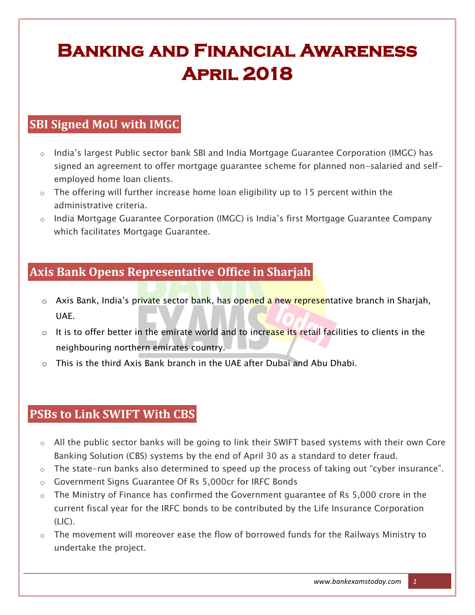# **Banking and Financial Awareness April 2018**

# **SBI Signed MoU with IMGC**

- o India"s largest Public sector bank SBI and India Mortgage Guarantee Corporation (IMGC) has signed an agreement to offer mortgage guarantee scheme for planned non-salaried and selfemployed home loan clients.
- o The offering will further increase home loan eligibility up to 15 percent within the administrative criteria.
- $\circ$  India Mortgage Guarantee Corporation (IMGC) is India's first Mortgage Guarantee Company which facilitates Mortgage Guarantee.

# **Axis Bank Opens Representative Office in Sharjah**

- Axis Bank, India's private sector bank, has opened a new representative branch in Sharjah, UAE.
- $\circ$  It is to offer better in the emirate world and to increase its retail facilities to clients in the neighbouring northern emirates country.
- $\circ$  This is the third Axis Bank branch in the UAE after Dubai and Abu Dhabi.

#### **PSBs to Link SWIFT With CBS**

- o All the public sector banks will be going to link their SWIFT based systems with their own Core Banking Solution (CBS) systems by the end of April 30 as a standard to deter fraud.
- o The state-run banks also determined to speed up the process of taking out "cyber insurance".
- o Government Signs Guarantee Of Rs 5,000cr for IRFC Bonds
- o The Ministry of Finance has confirmed the Government guarantee of Rs 5,000 crore in the current fiscal year for the IRFC bonds to be contributed by the Life Insurance Corporation (LIC).
- $\circ$  The movement will moreover ease the flow of borrowed funds for the Railways Ministry to undertake the project.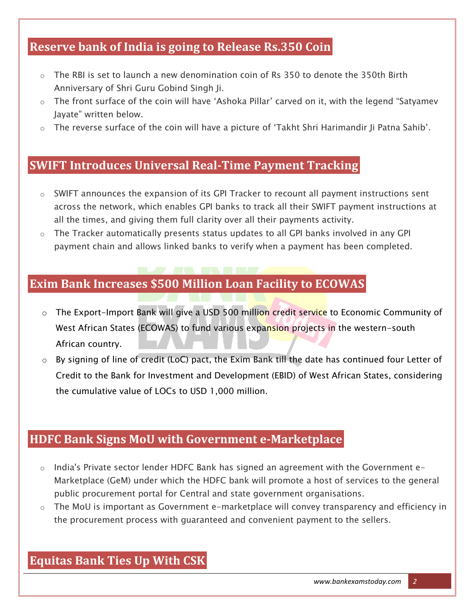# **Reserve bank of India is going to Release Rs.350 Coin**

- $\circ$  The RBI is set to launch a new denomination coin of Rs 350 to denote the 350th Birth Anniversary of Shri Guru Gobind Singh Ji.
- o The front surface of the coin will have "Ashoka Pillar" carved on it, with the legend "Satyamev Jayate" written below.
- o The reverse surface of the coin will have a picture of "Takht Shri Harimandir Ji Patna Sahib".

#### **SWIFT Introduces Universal Real-Time Payment Tracking**

- o SWIFT announces the expansion of its GPI Tracker to recount all payment instructions sent across the network, which enables GPI banks to track all their SWIFT payment instructions at all the times, and giving them full clarity over all their payments activity.
- $\circ$  The Tracker automatically presents status updates to all GPI banks involved in any GPI payment chain and allows linked banks to verify when a payment has been completed.

# **Exim Bank Increases \$500 Million Loan Facility to ECOWAS**

- o The Export-Import Bank will give a USD 500 million credit service to Economic Community of West African States (ECOWAS) to fund various expansion projects in the western-south African country.
- o By signing of line of credit (LoC) pact, the Exim Bank till the date has continued four Letter of Credit to the Bank for Investment and Development (EBID) of West African States, considering the cumulative value of LOCs to USD 1,000 million.

# **HDFC Bank Signs MoU with Government e-Marketplace**

- o India's Private sector lender HDFC Bank has signed an agreement with the Government e-Marketplace (GeM) under which the HDFC bank will promote a host of services to the general public procurement portal for Central and state government organisations.
- o The MoU is important as Government e-marketplace will convey transparency and efficiency in the procurement process with guaranteed and convenient payment to the sellers.

#### **Equitas Bank Ties Up With CSK**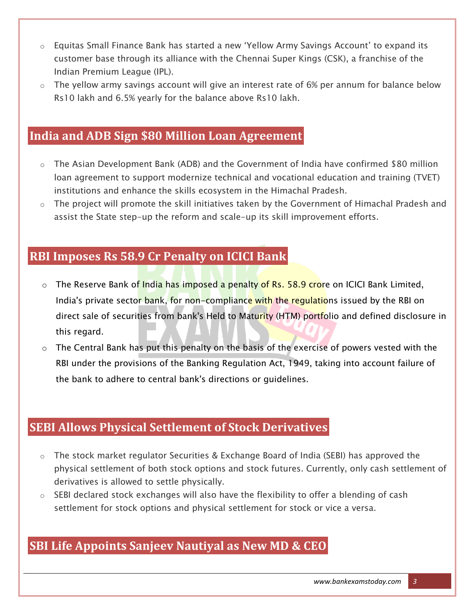- o Equitas Small Finance Bank has started a new "Yellow Army Savings Account" to expand its customer base through its alliance with the Chennai Super Kings (CSK), a franchise of the Indian Premium League (IPL).
- o The yellow army savings account will give an interest rate of 6% per annum for balance below Rs10 lakh and 6.5% yearly for the balance above Rs10 lakh.

#### **India and ADB Sign \$80 Million Loan Agreement**

- $\circ$  The Asian Development Bank (ADB) and the Government of India have confirmed \$80 million loan agreement to support modernize technical and vocational education and training (TVET) institutions and enhance the skills ecosystem in the Himachal Pradesh.
- $\circ$  The project will promote the skill initiatives taken by the Government of Himachal Pradesh and assist the State step-up the reform and scale-up its skill improvement efforts.

#### **RBI Imposes Rs 58.9 Cr Penalty on ICICI Bank**

- o The Reserve Bank of India has imposed a penalty of Rs. 58.9 crore on ICICI Bank Limited, India's private sector bank, for non-compliance with the regulations issued by the RBI on direct sale of securities from bank's Held to Maturity (HTM) portfolio and defined disclosure in this regard.
- $\circ$  The Central Bank has put this penalty on the basis of the exercise of powers vested with the RBI under the provisions of the Banking Regulation Act, 1949, taking into account failure of the bank to adhere to central bank's directions or guidelines.

#### **SEBI Allows Physical Settlement of Stock Derivatives**

- $\circ$  The stock market regulator Securities & Exchange Board of India (SEBI) has approved the physical settlement of both stock options and stock futures. Currently, only cash settlement of derivatives is allowed to settle physically.
- o SEBI declared stock exchanges will also have the flexibility to offer a blending of cash settlement for stock options and physical settlement for stock or vice a versa.

#### **SBI Life Appoints Sanjeev Nautiyal as New MD & CEO**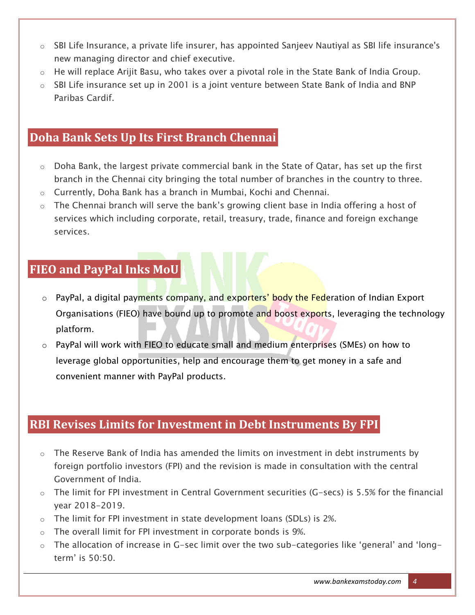- o SBI Life Insurance, a private life insurer, has appointed Sanjeev Nautiyal as SBI life insurance's new managing director and chief executive.
- o He will replace Arijit Basu, who takes over a pivotal role in the State Bank of India Group.
- o SBI Life insurance set up in 2001 is a joint venture between State Bank of India and BNP Paribas Cardif.

#### **Doha Bank Sets Up Its First Branch Chennai**

- o Doha Bank, the largest private commercial bank in the State of Qatar, has set up the first branch in the Chennai city bringing the total number of branches in the country to three.
- o Currently, Doha Bank has a branch in Mumbai, Kochi and Chennai.
- o The Chennai branch will serve the bank"s growing client base in India offering a host of services which including corporate, retail, treasury, trade, finance and foreign exchange services.

# **FIEO and PayPal Inks MoU**

- o PayPal, a digital payments company, and exporters' body the Federation of Indian Export Organisations (FIEO) have bound up to promote and boost exports, leveraging the technology platform.
- o PayPal will work with FIEO to educate small and medium enterprises (SMEs) on how to leverage global opportunities, help and encourage them to get money in a safe and convenient manner with PayPal products.

# **RBI Revises Limits for Investment in Debt Instruments By FPI**

- o The Reserve Bank of India has amended the limits on investment in debt instruments by foreign portfolio investors (FPI) and the revision is made in consultation with the central Government of India.
- $\circ$  The limit for FPI investment in Central Government securities (G-secs) is 5.5% for the financial year 2018-2019.
- $\circ$  The limit for FPI investment in state development loans (SDLs) is 2%.
- o The overall limit for FPI investment in corporate bonds is 9%.
- $\circ$  The allocation of increase in G-sec limit over the two sub-categories like 'general' and 'longterm" is 50:50.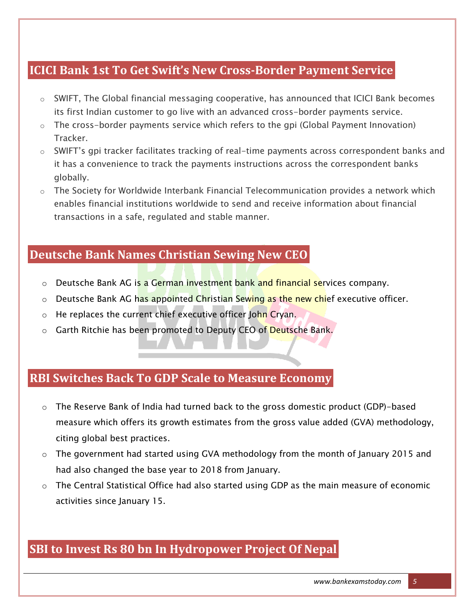#### **ICICI Bank 1st To Get Swift's New Cross-Border Payment Service**

- $\circ$  SWIFT, The Global financial messaging cooperative, has announced that ICICI Bank becomes its first Indian customer to go live with an advanced cross-border payments service.
- $\circ$  The cross-border payments service which refers to the gpi (Global Payment Innovation) Tracker.
- $\circ$  SWIFT's gpi tracker facilitates tracking of real-time payments across correspondent banks and it has a convenience to track the payments instructions across the correspondent banks globally.
- $\circ$  The Society for Worldwide Interbank Financial Telecommunication provides a network which enables financial institutions worldwide to send and receive information about financial transactions in a safe, regulated and stable manner.

# **Deutsche Bank Names Christian Sewing New CEO**

- o Deutsche Bank AG is a German investment bank and financial services company.
- o Deutsche Bank AG has appointed Christian Sewing as the new chief executive officer.
- o He replaces the current chief executive officer John Cryan.
- $\circ$  Garth Ritchie has been promoted to Deputy CEO of Deutsche Bank.

#### **RBI Switches Back To GDP Scale to Measure Economy**

- o The Reserve Bank of India had turned back to the gross domestic product (GDP)-based measure which offers its growth estimates from the gross value added (GVA) methodology, citing global best practices.
- $\circ$  The government had started using GVA methodology from the month of January 2015 and had also changed the base year to 2018 from January.
- o The Central Statistical Office had also started using GDP as the main measure of economic activities since January 15.

# **SBI to Invest Rs 80 bn In Hydropower Project Of Nepal**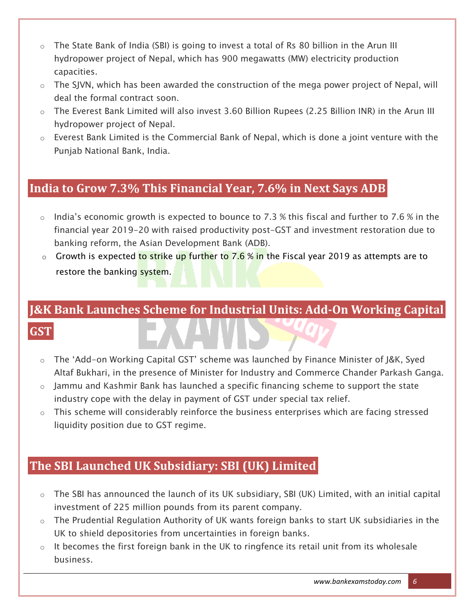- $\circ$  The State Bank of India (SBI) is going to invest a total of Rs 80 billion in the Arun III hydropower project of Nepal, which has 900 megawatts (MW) electricity production capacities.
- $\circ$  The SJVN, which has been awarded the construction of the mega power project of Nepal, will deal the formal contract soon.
- o The Everest Bank Limited will also invest 3.60 Billion Rupees (2.25 Billion INR) in the Arun III hydropower project of Nepal.
- $\circ$  Everest Bank Limited is the Commercial Bank of Nepal, which is done a joint venture with the Punjab National Bank, India.

# **India to Grow 7.3% This Financial Year, 7.6% in Next Says ADB**

- $\circ$  India's economic growth is expected to bounce to 7.3 % this fiscal and further to 7.6 % in the financial year 2019-20 with raised productivity post-GST and investment restoration due to banking reform, the Asian Development Bank (ADB).
- $\circ$  Growth is expected to strike up further to 7.6 % in the Fiscal year 2019 as attempts are to restore the banking system.

# **J&K Bank Launches Scheme for Industrial Units: Add-On Working Capital GST**

- o The "Add-on Working Capital GST" scheme was launched by Finance Minister of J&K, Syed Altaf Bukhari, in the presence of Minister for Industry and Commerce Chander Parkash Ganga.
- $\circ$  Jammu and Kashmir Bank has launched a specific financing scheme to support the state industry cope with the delay in payment of GST under special tax relief.
- $\circ$  This scheme will considerably reinforce the business enterprises which are facing stressed liquidity position due to GST regime.

# **The SBI Launched UK Subsidiary: SBI (UK) Limited**

- o The SBI has announced the launch of its UK subsidiary, SBI (UK) Limited, with an initial capital investment of 225 million pounds from its parent company.
- $\circ$  The Prudential Regulation Authority of UK wants foreign banks to start UK subsidiaries in the UK to shield depositories from uncertainties in foreign banks.
- $\circ$  It becomes the first foreign bank in the UK to ringfence its retail unit from its wholesale business.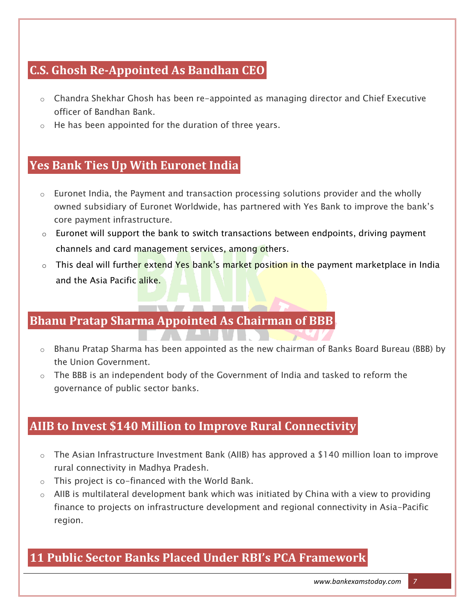# **C.S. Ghosh Re-Appointed As Bandhan CEO**

- $\circ$  Chandra Shekhar Ghosh has been re-appointed as managing director and Chief Executive officer of Bandhan Bank.
- $\circ$  He has been appointed for the duration of three years.

# **Yes Bank Ties Up With Euronet India**

- $\circ$  Euronet India, the Payment and transaction processing solutions provider and the wholly owned subsidiary of Euronet Worldwide, has partnered with Yes Bank to improve the bank"s core payment infrastructure.
- $\circ$  Euronet will support the bank to switch transactions between endpoints, driving payment channels and card management services, among others.
- o This deal will further extend Yes bank's market position in the payment marketplace in India and the Asia Pacific alike.

# **Bhanu Pratap Sharma Appointed As Chairman of BBB**

<u> FAN AN WENDER ST</u>

- $\circ$  Bhanu Pratap Sharma has been appointed as the new chairman of Banks Board Bureau (BBB) by the Union Government.
- o The BBB is an independent body of the Government of India and tasked to reform the governance of public sector banks.

# **AIIB to Invest \$140 Million to Improve Rural Connectivity**

- $\circ$  The Asian Infrastructure Investment Bank (AIIB) has approved a \$140 million loan to improve rural connectivity in Madhya Pradesh.
- $\circ$  This project is co-financed with the World Bank.
- o AIIB is multilateral development bank which was initiated by China with a view to providing finance to projects on infrastructure development and regional connectivity in Asia-Pacific region.

# **11 Public Sector Banks Placed Under RBI's PCA Framework**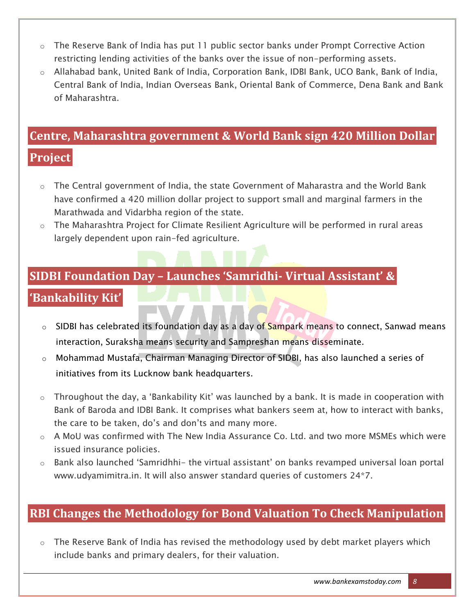- $\circ$  The Reserve Bank of India has put 11 public sector banks under Prompt Corrective Action restricting lending activities of the banks over the issue of non-performing assets.
- o Allahabad bank, United Bank of India, Corporation Bank, IDBI Bank, UCO Bank, Bank of India, Central Bank of India, Indian Overseas Bank, Oriental Bank of Commerce, Dena Bank and Bank of Maharashtra.

# **Centre, Maharashtra government & World Bank sign 420 Million Dollar**

# **Project**

- $\circ$  The Central government of India, the state Government of Maharastra and the World Bank have confirmed a 420 million dollar project to support small and marginal farmers in the Marathwada and Vidarbha region of the state.
- o The Maharashtra Project for Climate Resilient Agriculture will be performed in rural areas largely dependent upon rain-fed agriculture.

#### **SIDBI Foundation Day – Launches 'Samridhi- Virtual Assistant' &**

# **'Bankability Kit'**

- $\circ$  SIDBI has celebrated its foundation day as a day of Sampark means to connect, Sanwad means interaction, Suraksha means security and Sampreshan means disseminate.
- o Mohammad Mustafa, Chairman Managing Director of SIDBI, has also launched a series of initiatives from its Lucknow bank headquarters.
- $\circ$  Throughout the day, a 'Bankability Kit' was launched by a bank. It is made in cooperation with Bank of Baroda and IDBI Bank. It comprises what bankers seem at, how to interact with banks, the care to be taken, do"s and don"ts and many more.
- o A MoU was confirmed with The New India Assurance Co. Ltd. and two more MSMEs which were issued insurance policies.
- $\circ$  Bank also launched 'Samridhhi- the virtual assistant' on banks revamped universal loan portal www.udyamimitra.in. It will also answer standard queries of customers 24\*7.

# **RBI Changes the Methodology for Bond Valuation To Check Manipulation**

 $\circ$  The Reserve Bank of India has revised the methodology used by debt market players which include banks and primary dealers, for their valuation.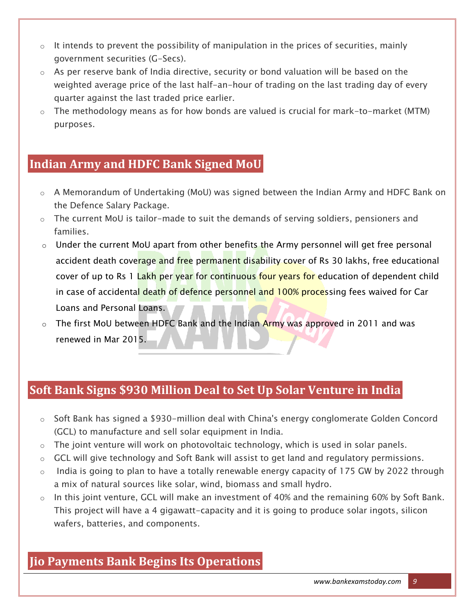- $\circ$  It intends to prevent the possibility of manipulation in the prices of securities, mainly government securities (G-Secs).
- $\circ$  As per reserve bank of India directive, security or bond valuation will be based on the weighted average price of the last half-an-hour of trading on the last trading day of every quarter against the last traded price earlier.
- $\circ$  The methodology means as for how bonds are valued is crucial for mark-to-market (MTM) purposes.

#### **Indian Army and HDFC Bank Signed MoU**

- o A Memorandum of Undertaking (MoU) was signed between the Indian Army and HDFC Bank on the Defence Salary Package.
- o The current MoU is tailor-made to suit the demands of serving soldiers, pensioners and families.
- $\circ$  Under the current MoU apart from other benefits the Army personnel will get free personal accident death coverage and free permanent disability cover of Rs 30 lakhs, free educational cover of up to Rs 1 Lakh per year for continuous four years for education of dependent child in case of accidental death of defence personnel and 100% processing fees waived for Car Loans and Personal Loans.
- o The first MoU between HDFC Bank and the Indian Army was approved in 2011 and was renewed in Mar 2015.

# **Soft Bank Signs \$930 Million Deal to Set Up Solar Venture in India**

- o Soft Bank has signed a \$930-million deal with China's energy conglomerate Golden Concord (GCL) to manufacture and sell solar equipment in India.
- $\circ$  The joint venture will work on photovoltaic technology, which is used in solar panels.
- o GCL will give technology and Soft Bank will assist to get land and regulatory permissions.
- $\circ$  India is going to plan to have a totally renewable energy capacity of 175 GW by 2022 through a mix of natural sources like solar, wind, biomass and small hydro.
- $\circ$  In this joint venture, GCL will make an investment of 40% and the remaining 60% by Soft Bank. This project will have a 4 gigawatt-capacity and it is going to produce solar ingots, silicon wafers, batteries, and components.

# **Jio Payments Bank Begins Its Operations**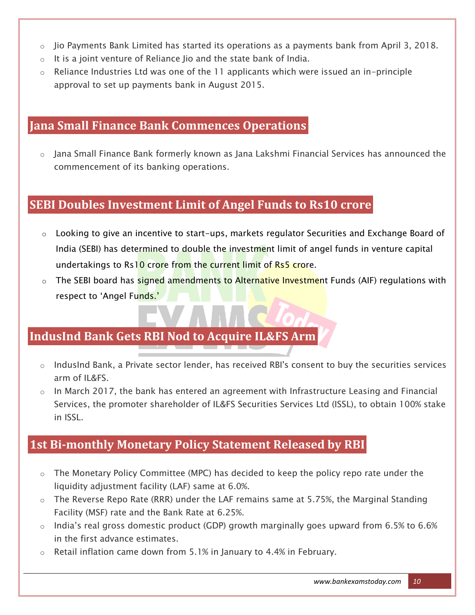- o Jio Payments Bank Limited has started its operations as a payments bank from April 3, 2018.
- o It is a joint venture of Reliance Jio and the state bank of India.
- $\circ$  Reliance Industries Ltd was one of the 11 applicants which were issued an in-principle approval to set up payments bank in August 2015.

#### **Jana Small Finance Bank Commences Operations**

o Jana Small Finance Bank formerly known as Jana Lakshmi Financial Services has announced the commencement of its banking operations.

#### **SEBI Doubles Investment Limit of Angel Funds to Rs10 crore**

- o Looking to give an incentive to start-ups, markets regulator Securities and Exchange Board of India (SEBI) has determined to double the investment limit of angel funds in venture capital undertakings to Rs10 crore from the current limit of Rs5 crore.
- o The SEBI board has signed amendments to Alternative Investment Funds (AIF) regulations with respect to 'Angel Funds.'

# **IndusInd Bank Gets RBI Nod to Acquire IL&FS Arm**

- $\circ$  IndusInd Bank, a Private sector lender, has received RBI's consent to buy the securities services arm of IL&FS.
- $\circ$  In March 2017, the bank has entered an agreement with Infrastructure Leasing and Financial Services, the promoter shareholder of IL&FS Securities Services Ltd (ISSL), to obtain 100% stake in ISSL.

#### **1st Bi-monthly Monetary Policy Statement Released by RBI**

- o The Monetary Policy Committee (MPC) has decided to keep the policy repo rate under the liquidity adjustment facility (LAF) same at 6.0%.
- o The Reverse Repo Rate (RRR) under the LAF remains same at 5.75%, the Marginal Standing Facility (MSF) rate and the Bank Rate at 6.25%.
- o India"s real gross domestic product (GDP) growth marginally goes upward from 6.5% to 6.6% in the first advance estimates.
- $\circ$  Retail inflation came down from 5.1% in January to 4.4% in February.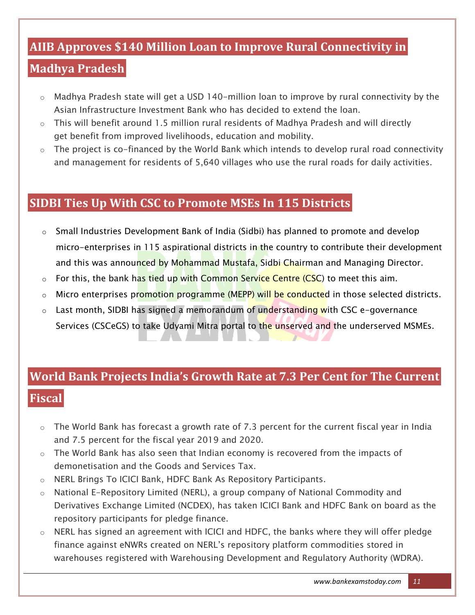# **AIIB Approves \$140 Million Loan to Improve Rural Connectivity in**

# **Madhya Pradesh**

- o Madhya Pradesh state will get a USD 140-million loan to improve by rural connectivity by the Asian Infrastructure Investment Bank who has decided to extend the loan.
- $\circ$  This will benefit around 1.5 million rural residents of Madhya Pradesh and will directly get benefit from improved livelihoods, education and mobility.
- $\circ$  The project is co-financed by the World Bank which intends to develop rural road connectivity and management for residents of 5,640 villages who use the rural roads for daily activities.

#### **SIDBI Ties Up With CSC to Promote MSEs In 115 Districts**

- $\circ$  Small Industries Development Bank of India (Sidbi) has planned to promote and develop micro-enterprises in 115 aspirational districts in the country to contribute their development and this was announced by Mohammad Mustafa, Sidbi Chairman and Managing Director.
- $\circ$  For this, the bank has tied up with Common Service Centre (CSC) to meet this aim.
- o Micro enterprises promotion programme (MEPP) will be conducted in those selected districts.
- o Last month, SIDBI has signed a memorandum of understanding with CSC e-governance Services (CSCeGS) to take Udyami Mitra portal to the unserved and the underserved MSMEs.

# **World Bank Projects India's Growth Rate at 7.3 Per Cent for The Current Fiscal**

- $\circ$  The World Bank has forecast a growth rate of 7.3 percent for the current fiscal year in India and 7.5 percent for the fiscal year 2019 and 2020.
- $\circ$  The World Bank has also seen that Indian economy is recovered from the impacts of demonetisation and the Goods and Services Tax.
- o NERL Brings To ICICI Bank, HDFC Bank As Repository Participants.
- $\circ$  National E-Repository Limited (NERL), a group company of National Commodity and Derivatives Exchange Limited (NCDEX), has taken ICICI Bank and HDFC Bank on board as the repository participants for pledge finance.
- o NERL has signed an agreement with ICICI and HDFC, the banks where they will offer pledge finance against eNWRs created on NERL"s repository platform commodities stored in warehouses registered with Warehousing Development and Regulatory Authority (WDRA).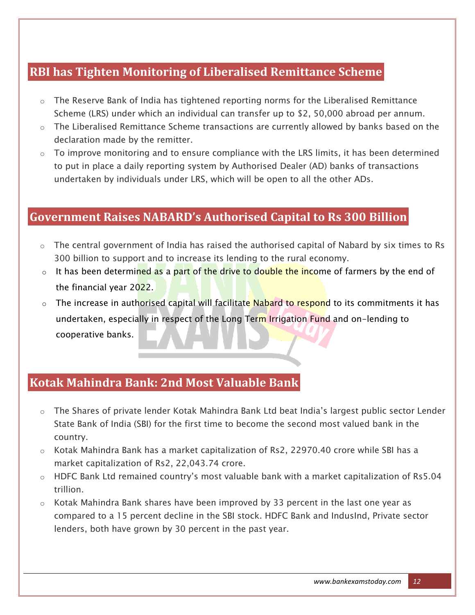# **RBI has Tighten Monitoring of Liberalised Remittance Scheme**

- $\circ$  The Reserve Bank of India has tightened reporting norms for the Liberalised Remittance Scheme (LRS) under which an individual can transfer up to \$2, 50,000 abroad per annum.
- o The Liberalised Remittance Scheme transactions are currently allowed by banks based on the declaration made by the remitter.
- $\circ$  To improve monitoring and to ensure compliance with the LRS limits, it has been determined to put in place a daily reporting system by Authorised Dealer (AD) banks of transactions undertaken by individuals under LRS, which will be open to all the other ADs.

#### **Government Raises NABARD's Authorised Capital to Rs 300 Billion**

- o The central government of India has raised the authorised capital of Nabard by six times to Rs 300 billion to support and to increase its lending to the rural economy.
- $\circ$  It has been determined as a part of the drive to double the income of farmers by the end of the financial year 2022.
- o The increase in authorised capital will facilitate Nabard to respond to its commitments it has undertaken, especially in respect of the Long Term Irrigation Fund and on-lending to cooperative banks.

#### **Kotak Mahindra Bank: 2nd Most Valuable Bank**

- o The Shares of private lender Kotak Mahindra Bank Ltd beat India"s largest public sector Lender State Bank of India (SBI) for the first time to become the second most valued bank in the country.
- $\circ$  Kotak Mahindra Bank has a market capitalization of Rs2, 22970.40 crore while SBI has a market capitalization of Rs2, 22,043.74 crore.
- $\circ$  HDFC Bank Ltd remained country's most valuable bank with a market capitalization of Rs5.04 trillion.
- o Kotak Mahindra Bank shares have been improved by 33 percent in the last one year as compared to a 15 percent decline in the SBI stock. HDFC Bank and IndusInd, Private sector lenders, both have grown by 30 percent in the past year.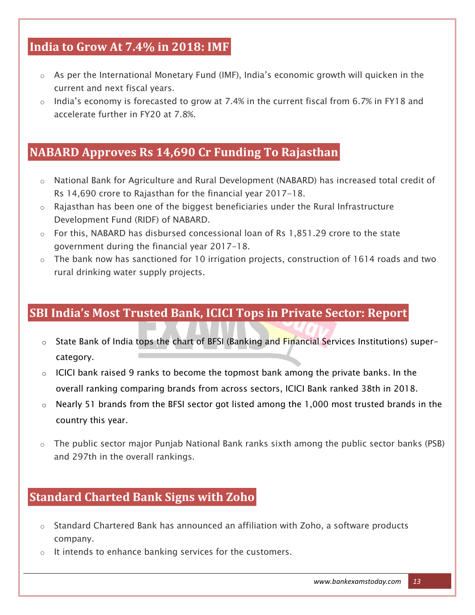# **India to Grow At 7.4% in 2018: IMF**

- $\circ$  As per the International Monetary Fund (IMF), India's economic growth will quicken in the current and next fiscal years.
- o India"s economy is forecasted to grow at 7.4% in the current fiscal from 6.7% in FY18 and accelerate further in FY20 at 7.8%.

### **NABARD Approves Rs 14,690 Cr Funding To Rajasthan**

- o National Bank for Agriculture and Rural Development (NABARD) has increased total credit of Rs 14,690 crore to Rajasthan for the financial year 2017-18.
- $\circ$  Rajasthan has been one of the biggest beneficiaries under the Rural Infrastructure Development Fund (RIDF) of NABARD.
- $\circ$  For this, NABARD has disbursed concessional loan of Rs 1,851.29 crore to the state government during the financial year 2017-18.
- o The bank now has sanctioned for 10 irrigation projects, construction of 1614 roads and two rural drinking water supply projects.

# **SBI India's Most Trusted Bank, ICICI Tops in Private Sector: Report**

- o State Bank of India tops the chart of BFSI (Banking and Financial Services Institutions) supercategory.
- $\circ$  ICICI bank raised 9 ranks to become the topmost bank among the private banks. In the overall ranking comparing brands from across sectors, ICICI Bank ranked 38th in 2018.
- o Nearly 51 brands from the BFSI sector got listed among the 1,000 most trusted brands in the country this year.
- o The public sector major Punjab National Bank ranks sixth among the public sector banks (PSB) and 297th in the overall rankings.

# **Standard Charted Bank Signs with Zoho**

- o Standard Chartered Bank has announced an affiliation with Zoho, a software products company.
- o It intends to enhance banking services for the customers.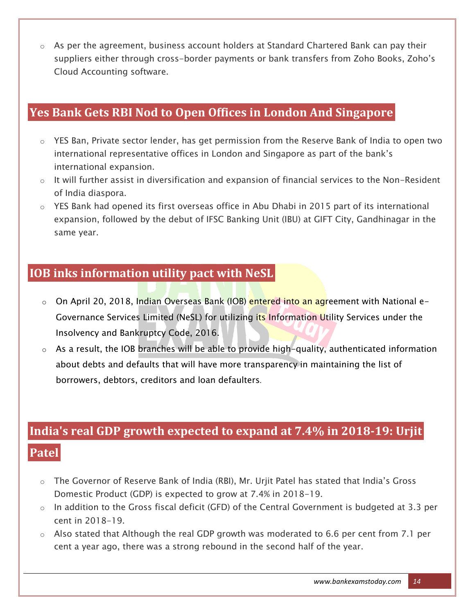o As per the agreement, business account holders at Standard Chartered Bank can pay their suppliers either through cross-border payments or bank transfers from Zoho Books, Zoho's Cloud Accounting software.

# **Yes Bank Gets RBI Nod to Open Offices in London And Singapore**

- o YES Ban, Private sector lender, has get permission from the Reserve Bank of India to open two international representative offices in London and Singapore as part of the bank"s international expansion.
- $\circ$  It will further assist in diversification and expansion of financial services to the Non-Resident of India diaspora.
- $\circ$  YES Bank had opened its first overseas office in Abu Dhabi in 2015 part of its international expansion, followed by the debut of IFSC Banking Unit (IBU) at GIFT City, Gandhinagar in the same year.

#### **IOB inks information utility pact with NeSL**

- o On April 20, 2018, Indian Overseas Bank (IOB) entered into an agreement with National e-Governance Services Limited (NeSL) for utilizing its Information Utility Services under the Insolvency and Bankruptcy Code, 2016.
- $\circ$  As a result, the IOB branches will be able to provide high-quality, authenticated information about debts and defaults that will have more transparency in maintaining the list of borrowers, debtors, creditors and loan defaulters*.*

# **India's real GDP growth expected to expand at 7.4% in 2018-19: Urjit Patel**

- o The Governor of Reserve Bank of India (RBI), Mr. Urjit Patel has stated that India"s Gross Domestic Product (GDP) is expected to grow at 7.4% in 2018-19.
- o In addition to the Gross fiscal deficit (GFD) of the Central Government is budgeted at 3.3 per cent in 2018-19.
- o Also stated that Although the real GDP growth was moderated to 6.6 per cent from 7.1 per cent a year ago, there was a strong rebound in the second half of the year.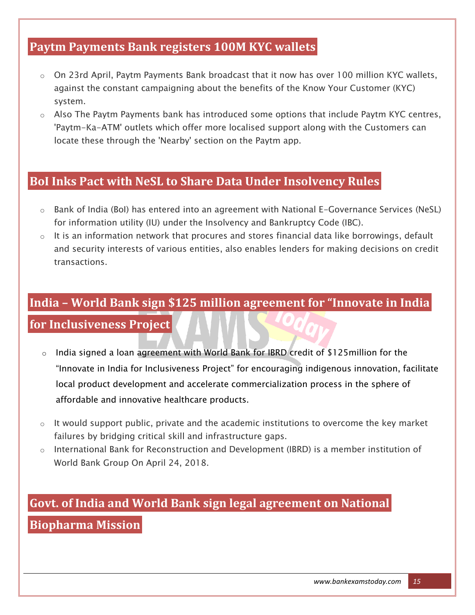# **Paytm Payments Bank registers 100M KYC wallets**

- $\circ$  On 23rd April, Paytm Payments Bank broadcast that it now has over 100 million KYC wallets, against the constant campaigning about the benefits of the Know Your Customer (KYC) system.
- $\circ$  Also The Paytm Payments bank has introduced some options that include Paytm KYC centres, 'Paytm-Ka-ATM' outlets which offer more localised support along with the Customers can locate these through the 'Nearby' section on the Paytm app.

#### **BoI Inks Pact with NeSL to Share Data Under Insolvency Rules**

- $\circ$  Bank of India (BoI) has entered into an agreement with National E-Governance Services (NeSL) for information utility (IU) under the Insolvency and Bankruptcy Code (IBC).
- $\circ$  It is an information network that procures and stores financial data like borrowings, default and security interests of various entities, also enables lenders for making decisions on credit transactions.

# **India – World Bank sign \$125 million agreement for "Innovate in India**

#### **for Inclusiveness Project**

- o India signed a loan agreement with World Bank for IBRD credit of \$125million for the "Innovate in India for Inclusiveness Project" for encouraging indigenous innovation, facilitate local product development and accelerate commercialization process in the sphere of affordable and innovative healthcare products.
- $\circ$  It would support public, private and the academic institutions to overcome the key market failures by bridging critical skill and infrastructure gaps.
- $\circ$  International Bank for Reconstruction and Development (IBRD) is a member institution of World Bank Group On April 24, 2018.

# **Govt. of India and World Bank sign legal agreement on National Biopharma Mission**